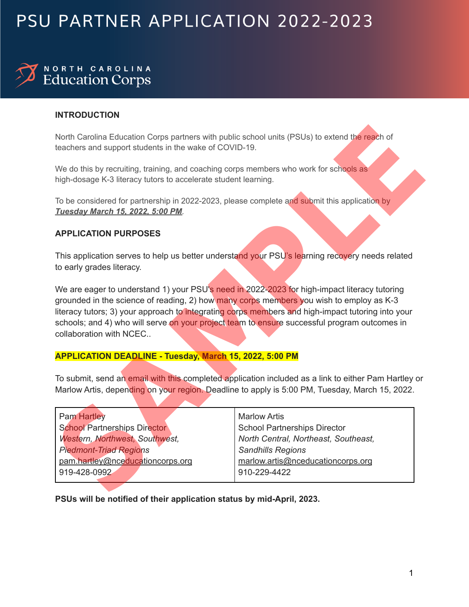## PSU PARTNER APPLICATION 2022-2023

# NORTH CAROLINA<br>Education Corps

### **INTRODUCTION**

### **APPLICATION PURPOSES**

### **APPLICATION DEADLINE - Tuesday, March 15, 2022, 5:00 PM**

| teachers and support students in the wake of COVID-19.                                                                                                                                  | North Carolina Education Corps partners with public school units (PSUs) to extend the reach of                                                                                                                                                                                                                                                                                               |  |  |  |  |
|-----------------------------------------------------------------------------------------------------------------------------------------------------------------------------------------|----------------------------------------------------------------------------------------------------------------------------------------------------------------------------------------------------------------------------------------------------------------------------------------------------------------------------------------------------------------------------------------------|--|--|--|--|
| We do this by recruiting, training, and coaching corps members who work for schools as<br>high-dosage K-3 literacy tutors to accelerate student learning.                               |                                                                                                                                                                                                                                                                                                                                                                                              |  |  |  |  |
| To be considered for partnership in 2022-2023, please complete and submit this application by<br>Tuesday March 15, 2022, 5:00 PM.                                                       |                                                                                                                                                                                                                                                                                                                                                                                              |  |  |  |  |
| <b>APPLICATION PURPOSES</b>                                                                                                                                                             |                                                                                                                                                                                                                                                                                                                                                                                              |  |  |  |  |
| to early grades literacy.                                                                                                                                                               | This application serves to help us better understand your PSU's learning recovery needs related                                                                                                                                                                                                                                                                                              |  |  |  |  |
| collaboration with NCEC                                                                                                                                                                 | We are eager to understand 1) your PSU's need in 2022-2023 for high-impact literacy tutoring<br>grounded in the science of reading, 2) how many corps members you wish to employ as K-3<br>literacy tutors; 3) your approach to integrating corps members and high-impact tutoring into your<br>schools; and 4) who will serve on your project team to ensure successful program outcomes in |  |  |  |  |
| <b>APPLICATION DEADLINE - Tuesday, March 15, 2022, 5:00 PM</b>                                                                                                                          |                                                                                                                                                                                                                                                                                                                                                                                              |  |  |  |  |
|                                                                                                                                                                                         | To submit, send an email with this completed application included as a link to either Pam Hartley or<br>Marlow Artis, depending on your region. Deadline to apply is 5:00 PM, Tuesday, March 15, 2022.                                                                                                                                                                                       |  |  |  |  |
| <b>Pam Hartley</b><br><b>School Partnerships Director</b><br><b>Western, Northwest, Southwest,</b><br><b>Piedmont-Triad Regions</b><br>pam.hartley@nceducationcorps.org<br>919-428-0992 | <b>Marlow Artis</b><br><b>School Partnerships Director</b><br>North Central, Northeast, Southeast,<br>Sandhills Regions<br>marlow.artis@nceducationcorps.org<br>910-229-4422                                                                                                                                                                                                                 |  |  |  |  |
|                                                                                                                                                                                         |                                                                                                                                                                                                                                                                                                                                                                                              |  |  |  |  |

**PSUs will be notified of their application status by mid-April, 2023.**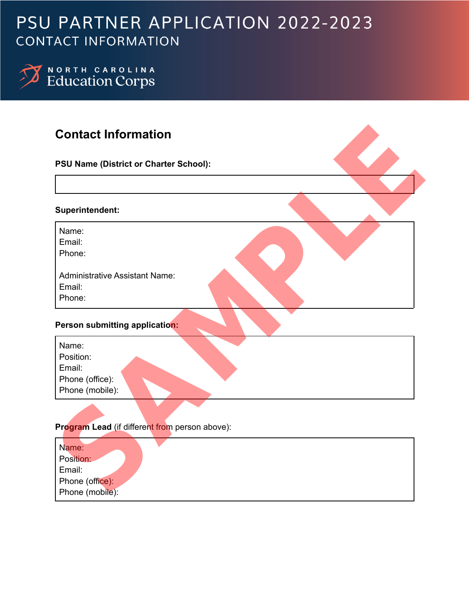## PSU PARTNER APPLICATION 2022-2023 **CONTACT INFORMATION**

NORTH CAROLINA<br>Education Corps

## **Contact Information**

| <b>Contact Information</b>                     |  |
|------------------------------------------------|--|
| PSU Name (District or Charter School):         |  |
|                                                |  |
| Superintendent:                                |  |
| Name:                                          |  |
| Email:                                         |  |
| Phone:                                         |  |
| <b>Administrative Assistant Name:</b>          |  |
| Email:                                         |  |
| Phone:                                         |  |
| Person submitting application:                 |  |
| Name:                                          |  |
| Position:                                      |  |
| Email:                                         |  |
| Phone (office):                                |  |
| Phone (mobile):                                |  |
|                                                |  |
|                                                |  |
| Program Lead (if different from person above): |  |
| Name:                                          |  |
| Position:                                      |  |
| Email:                                         |  |
| Phone (office):                                |  |
| Phone (mobile):                                |  |

## **Program Lead** (if different from person above):

| Name:           |  |
|-----------------|--|
| Position:       |  |
| Email:          |  |
| Phone (office): |  |
| Phone (mobile): |  |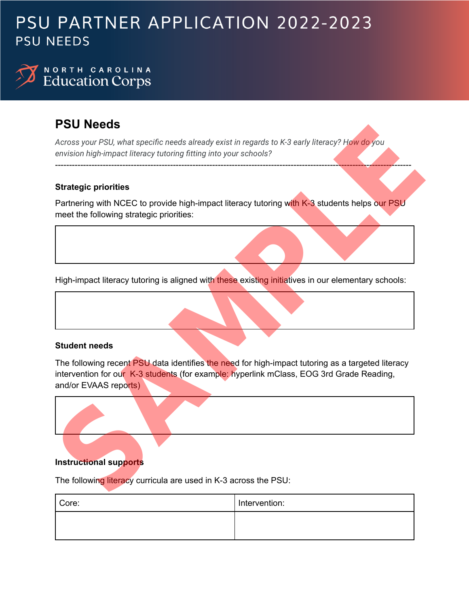## PSU PARTNER APPLICATION 2022-2023 **PSU NEEDS**

## NORTH CAROLINA **Education Corps**

## **PSU Needs**

*Across your PSU, what specific needs already exist in regards to K-3 early literacy? How do you envision high-impact literacy tutoring fitting into your schools?*

## **Strategic priorities**

Partnering with NCEC to provide high-impact literacy tutoring with K-3 students helps our PSU meet the following strategic priorities:

-------------------------------------------------------------------------------------------------------------------------------

High-impact literacy tutoring is aligned with these existing initiatives in our elementary schools:

## **Student needs**

The following recent PSU data identifies the need for high-impact tutoring as a targeted literacy intervention for our K-3 students (for example: hyperlink mClass, EOG 3rd Grade Reading, and/or EVAAS reports) **PSCU Needs**<br>
Across your PSU, what specific needs already exist in regards to K-3 early literacy? How do you<br>
envision high-impact literacy tutoring fitting into your schools?<br>
Strategic priorities<br>
Plant-impact literacy



The following literacy curricula are used in K-3 across the PSU:

| Core: | Intervention: |
|-------|---------------|
|       |               |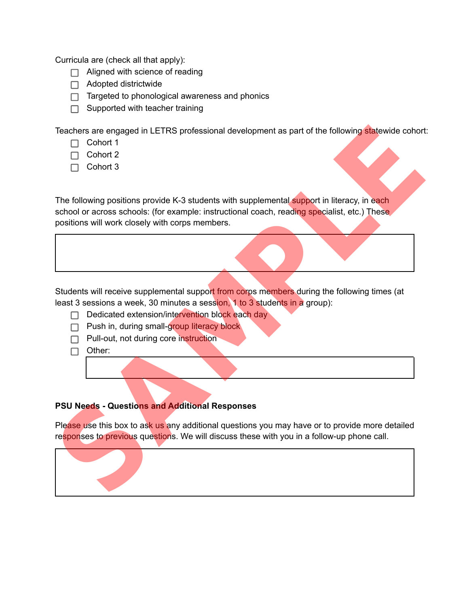Curricula are (check all that apply):

- $\Box$  Aligned with science of reading
- $\Box$  Adopted districtwide
- $\Box$  Targeted to phonological awareness and phonics
- $\Box$  Supported with teacher training

Teachers are engaged in LETRS professional development as part of the following statewide cohort:

- $\Box$  Cohort 1
- $\Box$  Cohort 2
- $\Box$  Cohort 3

The following positions provide K-3 students with supplemental support in literacy, in each school or across schools: (for example: instructional coach, reading specialist, etc.) These positions will work closely with corps members.

Students will receive supplemental support from corps members during the following times (at least 3 sessions a week, 30 minutes a session, 1 to 3 students in a group):

- $\Box$  Dedicated extension/intervention block each day
- **Push in, during small-group literacy block**
- **Pull-out, not during core instruction**
- $\Box$  Other:

## **PSU Needs - Questions and Additional Responses**

Please use this box to ask us any additional questions you may have or to provide more detailed responses to previous questions. We will discuss these with you in a follow-up phone call.

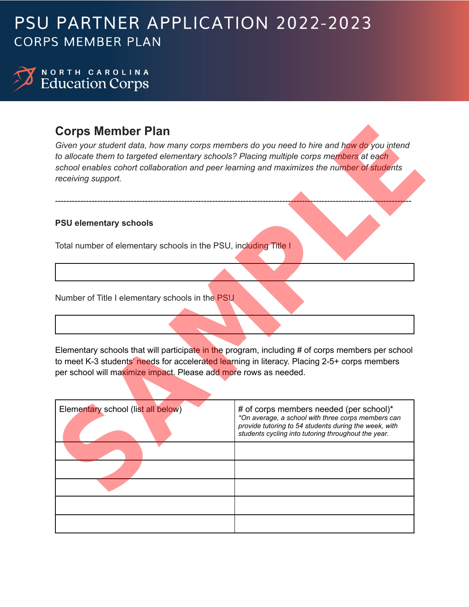## PSU PARTNER APPLICATION 2022-2023 **CORPS MEMBER PLAN**



## **Corps Member Plan**

### **PSU elementary schools**

| <b>Corps Member Plan</b><br>Given your student data, how many corps members do you need to hire and how do you intend<br>to allocate them to targeted elementary schools? Placing multiple corps members at each<br>school enables cohort collaboration and peer learning and maximizes the number of students<br>receiving support. |                                                                                                                                                                                                               |  |  |  |
|--------------------------------------------------------------------------------------------------------------------------------------------------------------------------------------------------------------------------------------------------------------------------------------------------------------------------------------|---------------------------------------------------------------------------------------------------------------------------------------------------------------------------------------------------------------|--|--|--|
| <b>PSU elementary schools</b>                                                                                                                                                                                                                                                                                                        |                                                                                                                                                                                                               |  |  |  |
| Total number of elementary schools in the PSU, including Title I                                                                                                                                                                                                                                                                     |                                                                                                                                                                                                               |  |  |  |
|                                                                                                                                                                                                                                                                                                                                      |                                                                                                                                                                                                               |  |  |  |
| Number of Title I elementary schools in the PSU                                                                                                                                                                                                                                                                                      |                                                                                                                                                                                                               |  |  |  |
|                                                                                                                                                                                                                                                                                                                                      |                                                                                                                                                                                                               |  |  |  |
| to meet K-3 students' needs for accelerated learning in literacy. Placing 2-5+ corps members<br>per school will maximize impact. Please add more rows as needed.                                                                                                                                                                     | Elementary schools that will participate in the program, including # of corps members per school                                                                                                              |  |  |  |
| Elementary school (list all below)                                                                                                                                                                                                                                                                                                   | # of corps members needed (per school)*<br>*On average, a school with three corps members can<br>provide tutoring to 54 students during the week, with<br>students cycling into tutoring throughout the year. |  |  |  |
|                                                                                                                                                                                                                                                                                                                                      |                                                                                                                                                                                                               |  |  |  |
|                                                                                                                                                                                                                                                                                                                                      |                                                                                                                                                                                                               |  |  |  |
|                                                                                                                                                                                                                                                                                                                                      |                                                                                                                                                                                                               |  |  |  |
|                                                                                                                                                                                                                                                                                                                                      |                                                                                                                                                                                                               |  |  |  |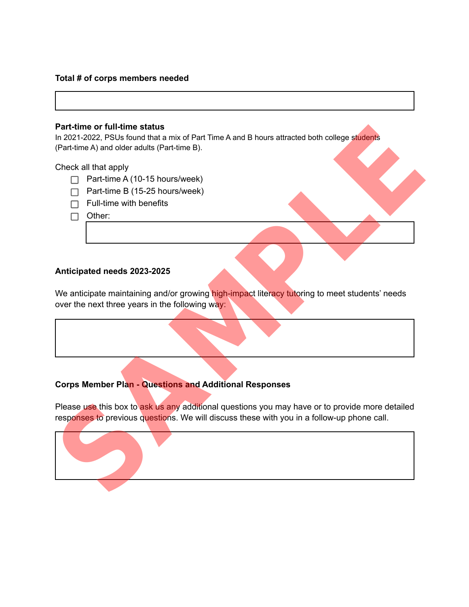#### **Total # of corps members needed**

#### **Part-time or full-time status**

In 2021-2022, PSUs found that a mix of Part Time A and B hours attracted both college students (Part-time A) and older adults (Part-time B).

#### Check all that apply

- $\Box$  Part-time A (10-15 hours/week)
- $\Box$  Part-time B (15-25 hours/week)
- $\Box$  Full-time with benefits
- $\Box$  Other:

#### **Anticipated needs 2023-2025**

We anticipate maintaining and/or growing high-impact literacy tutoring to meet students' needs over the next three years in the following way:

## **Corps Member Plan - Questions and Additional Responses**

Please use this box to ask us any additional questions you may have or to provide more detailed responses to previous questions. We will discuss these with you in a follow-up phone call.

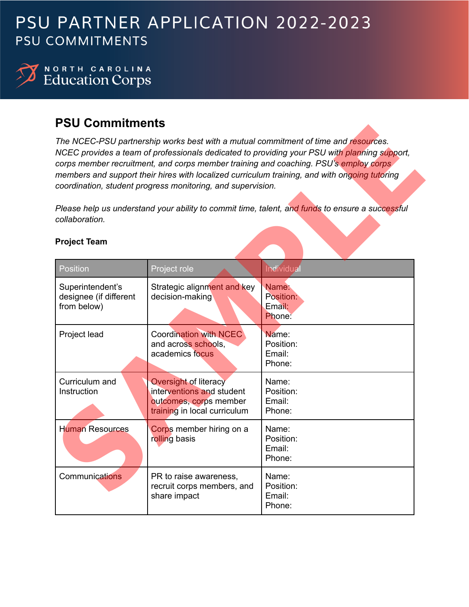## PSU PARTNER APPLICATION 2022-2023 **PSU COMMITMENTS**



NORTH CAROLINA<br>Education Corps

## **PSU Commitments**

| <b>PSU Commitments</b>                                    |                                                                                                                     |                                                                                                                                                                                                                                                                                                                                                                              |  |
|-----------------------------------------------------------|---------------------------------------------------------------------------------------------------------------------|------------------------------------------------------------------------------------------------------------------------------------------------------------------------------------------------------------------------------------------------------------------------------------------------------------------------------------------------------------------------------|--|
|                                                           | coordination, student progress monitoring, and supervision.                                                         | The NCEC-PSU partnership works best with a mutual commitment of time and resources.<br>NCEC provides a team of professionals dedicated to providing your PSU with planning support,<br>corps member recruitment, and corps member training and coaching. PSU's employ corps<br>members and support their hires with localized curriculum training, and with ongoing tutoring |  |
| collaboration.                                            |                                                                                                                     | Please help us understand your ability to commit time, talent, and funds to ensure a successful                                                                                                                                                                                                                                                                              |  |
| <b>Project Team</b>                                       |                                                                                                                     |                                                                                                                                                                                                                                                                                                                                                                              |  |
| Position                                                  | Project role                                                                                                        | <b>Individual</b>                                                                                                                                                                                                                                                                                                                                                            |  |
| Superintendent's<br>designee (if different<br>from below) | Strategic alignment and key<br>decision-making                                                                      | Name:<br>Position:<br>Email:<br>Phone:                                                                                                                                                                                                                                                                                                                                       |  |
| Project lead                                              | <b>Coordination with NCEC</b><br>and across schools,<br>academics focus                                             | Name:<br>Position:<br>Email:<br>Phone:                                                                                                                                                                                                                                                                                                                                       |  |
| Curriculum and<br>Instruction                             | <b>Oversight of literacy</b><br>interventions and student<br>outcomes, corps member<br>training in local curriculum | Name:<br>Position:<br>Email:<br>Phone:                                                                                                                                                                                                                                                                                                                                       |  |
| <b>Human Resources</b>                                    | Corps member hiring on a<br>rolling basis                                                                           | Name:<br>Position:<br>Email:<br>Phone:                                                                                                                                                                                                                                                                                                                                       |  |
| <b>Communications</b>                                     | PR to raise awareness,<br>recruit corps members, and<br>share impact                                                | Name:<br>Position:<br>Email:<br>Phone:                                                                                                                                                                                                                                                                                                                                       |  |

## **Project Team**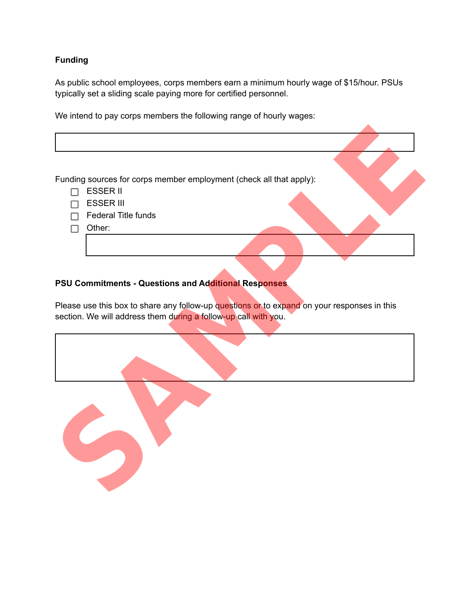### **Funding**

As public school employees, corps members earn a minimum hourly wage of \$15/hour. PSUs typically set a sliding scale paying more for certified personnel.

We intend to pay corps members the following range of hourly wages:

Funding sources for corps member employment (check all that apply):  $\Box$  ESSER II  $\Box$  ESSER III  $\Box$  Federal Title funds  $\Box$  Other: Funding sources for corps member employment (check all that apply):<br>
Funding sources for corps member employment (check all that apply):<br>

<del>E SSER II</del><br> **E SSER II**<br>
Section. We will address them during a follow-up cursti

## **PSU Commitments - Questions and Additional Responses**

Please use this box to share any follow-up questions or to expand on your responses in this section. We will address them during a follow-up call with you.